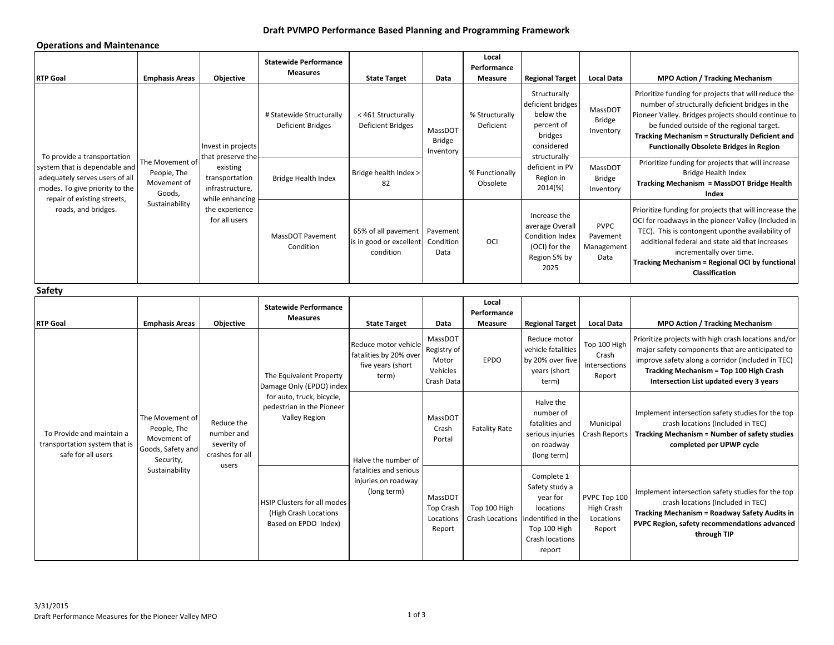# **Draft PVMPO Performance Based Planning and Programming Framework**

### **Operations and Maintenance**

| <b>RTP Goal</b>                                                                                                                                                                        | <b>Emphasis Areas</b>                                                                             | Objective                                                                                                                                      | <b>Statewide Performance</b><br><b>Measures</b>                                                                                | <b>State Target</b>                                                          | Data                                                      | Local<br>Performance<br><b>Measure</b> | <b>Regional Target</b>                                                                                                                           | <b>Local Data</b>                                 | <b>MPO Action / Tracking Mechanism</b>                                                                                                                                                                                                                                                                                              |
|----------------------------------------------------------------------------------------------------------------------------------------------------------------------------------------|---------------------------------------------------------------------------------------------------|------------------------------------------------------------------------------------------------------------------------------------------------|--------------------------------------------------------------------------------------------------------------------------------|------------------------------------------------------------------------------|-----------------------------------------------------------|----------------------------------------|--------------------------------------------------------------------------------------------------------------------------------------------------|---------------------------------------------------|-------------------------------------------------------------------------------------------------------------------------------------------------------------------------------------------------------------------------------------------------------------------------------------------------------------------------------------|
| To provide a transportation<br>system that is dependable and<br>adequately serves users of all<br>modes. To give priority to the<br>repair of existing streets,<br>roads, and bridges. | The Movement of<br>People, The<br>Movement of<br>Goods,<br>Sustainability                         | Invest in projects<br>that preserve the<br>existing<br>transportation<br>infrastructure,<br>while enhancing<br>the experience<br>for all users | # Statewide Structurally<br><b>Deficient Bridges</b>                                                                           | < 461 Structurally<br><b>Deficient Bridges</b>                               | MassDOT<br><b>Bridge</b><br>Inventory                     | % Structurally<br>Deficient            | Structurally<br>deficient bridges<br>below the<br>percent of<br>bridges<br>considered<br>structurally<br>deficient in PV<br>Region in<br>2014(%) | MassDOT<br>Bridge<br>Inventory                    | Prioritize funding for projects that will reduce the<br>number of structurally deficient bridges in the<br>Pioneer Valley. Bridges projects should continue to<br>be funded outside of the regional target.<br><b>Tracking Mechanism = Structurally Deficient and</b><br><b>Functionally Obsolete Bridges in Region</b>             |
|                                                                                                                                                                                        |                                                                                                   |                                                                                                                                                | <b>Bridge Health Index</b>                                                                                                     | Bridge health Index ><br>82                                                  |                                                           | % Functionally<br>Obsolete             |                                                                                                                                                  | MassDOT<br>Bridge<br>Inventory                    | Prioritize funding for projects that will increase<br><b>Bridge Health Index</b><br>Tracking Mechanism = MassDOT Bridge Health<br>Index                                                                                                                                                                                             |
|                                                                                                                                                                                        |                                                                                                   |                                                                                                                                                | MassDOT Pavement<br>Condition                                                                                                  | 65% of all pavement<br>is in good or excellent<br>condition                  | Pavement<br>Condition<br>Data                             | OCI                                    | Increase the<br>average Overall<br><b>Condition Index</b><br>(OCI) for the<br>Region 5% by<br>2025                                               | <b>PVPC</b><br>Pavement<br>Management<br>Data     | Prioritize funding for projects that will increase the<br>OCI for roadways in the pioneer Valley (Included in<br>TEC). This is contongent uponthe availability of<br>additional federal and state aid that increases<br>incrementally over time.<br><b>Tracking Mechanism = Regional OCI by functional</b><br><b>Classification</b> |
| Safety                                                                                                                                                                                 |                                                                                                   |                                                                                                                                                |                                                                                                                                |                                                                              |                                                           |                                        |                                                                                                                                                  |                                                   |                                                                                                                                                                                                                                                                                                                                     |
| <b>RTP Goal</b>                                                                                                                                                                        | <b>Emphasis Areas</b>                                                                             | Objective                                                                                                                                      | <b>Statewide Performance</b><br><b>Measures</b>                                                                                | <b>State Target</b>                                                          | Data                                                      | Local<br>Performance<br>Measure        | <b>Regional Target</b>                                                                                                                           | <b>Local Data</b>                                 | <b>MPO Action / Tracking Mechanism</b>                                                                                                                                                                                                                                                                                              |
| To Provide and maintain a<br>transportation system that is<br>safe for all users                                                                                                       | The Movement of<br>People, The<br>Movement of<br>Goods, Safety and<br>Security,<br>Sustainability | Reduce the<br>number and<br>severity of<br>crashes for all<br>users                                                                            | The Equivalent Property<br>Damage Only (EPDO) index<br>for auto, truck, bicycle,<br>pedestrian in the Pioneer<br>Valley Region | Reduce motor vehicle<br>fatalities by 20% over<br>five years (short<br>term) | MassDOT<br>Registry of<br>Motor<br>Vehicles<br>Crash Data | <b>EPDO</b>                            | Reduce motor<br>vehicle fatalities<br>by 20% over five<br>years (short<br>term)                                                                  | Top 100 High<br>Crash<br>Intersections<br>Report  | Prioritize projects with high crash locations and/or<br>major safety components that are anticipated to<br>improve safety along a corridor (Included in TEC)<br>Tracking Mechanism = Top 100 High Crash<br>Intersection List updated every 3 years                                                                                  |
|                                                                                                                                                                                        |                                                                                                   |                                                                                                                                                |                                                                                                                                | Halve the number of                                                          | MassDOT<br>Crash<br>Portal                                | <b>Fatality Rate</b>                   | Halve the<br>number of<br>fatalities and<br>serious injuries<br>on roadway<br>(long term)                                                        | Municipal<br><b>Crash Reports</b>                 | Implement intersection safety studies for the top<br>crash locations (Included in TEC)<br><b>Tracking Mechanism = Number of safety studies</b><br>completed per UPWP cycle                                                                                                                                                          |
|                                                                                                                                                                                        |                                                                                                   |                                                                                                                                                | HSIP Clusters for all modes<br>(High Crash Locations<br>Based on EPDO Index)                                                   | fatalities and serious<br>injuries on roadway<br>(long term)                 | MassDOT<br><b>Top Crash</b><br>Locations<br>Report        | Top 100 High<br>Crash Locations        | Complete 1<br>Safety study a<br>year for<br>locations<br>indentified in the<br>Top 100 High<br>Crash locations<br>report                         | PVPC Top 100<br>High Crash<br>Locations<br>Report | Implement intersection safety studies for the top<br>crash locations (Included in TEC)<br><b>Tracking Mechanism = Roadway Safety Audits in</b><br>PVPC Region, safety recommendations advanced<br>through TIP                                                                                                                       |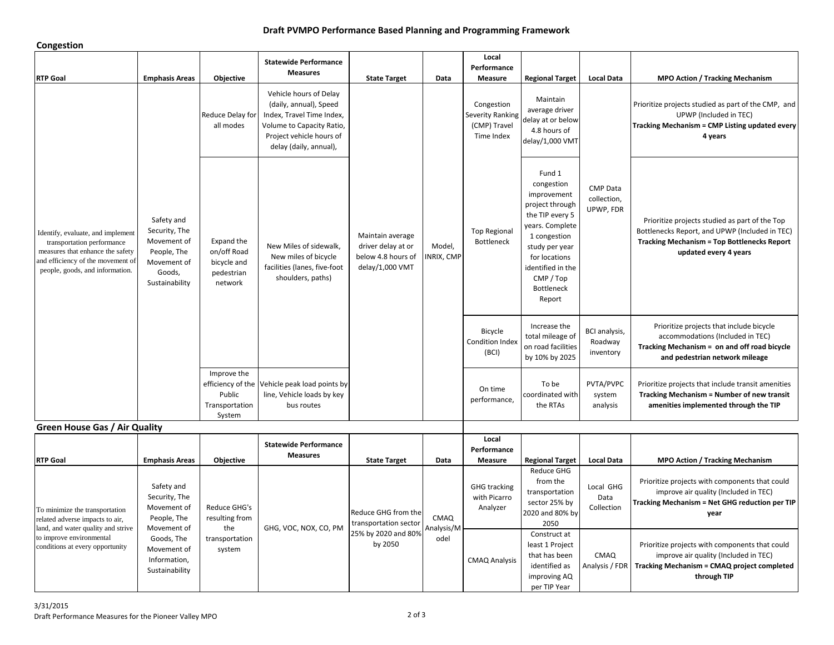### **Draft PVMPO Performance Based Planning and Programming Framework**

#### **Congestion**

| -----------                                                                                                                                                                 |                                                                                                      |                                                                   |                                                                                                                                                                  |                                                                                 |                            |                                                              |                                                                                                                                                                                                                  |                                              |                                                                                                                                                                                 |
|-----------------------------------------------------------------------------------------------------------------------------------------------------------------------------|------------------------------------------------------------------------------------------------------|-------------------------------------------------------------------|------------------------------------------------------------------------------------------------------------------------------------------------------------------|---------------------------------------------------------------------------------|----------------------------|--------------------------------------------------------------|------------------------------------------------------------------------------------------------------------------------------------------------------------------------------------------------------------------|----------------------------------------------|---------------------------------------------------------------------------------------------------------------------------------------------------------------------------------|
| <b>RTP Goal</b>                                                                                                                                                             | <b>Emphasis Areas</b>                                                                                | Objective                                                         | <b>Statewide Performance</b><br><b>Measures</b>                                                                                                                  | <b>State Target</b>                                                             | Data                       | Local<br>Performance<br>Measure                              | <b>Regional Target</b>                                                                                                                                                                                           | <b>Local Data</b>                            | <b>MPO Action / Tracking Mechanism</b>                                                                                                                                          |
| Identify, evaluate, and implement<br>transportation performance<br>measures that enhance the safety<br>and efficiency of the movement of<br>people, goods, and information. | Safety and<br>Security, The<br>Movement of<br>People, The<br>Movement of<br>Goods,<br>Sustainability | Reduce Delay for<br>all modes                                     | Vehicle hours of Delay<br>(daily, annual), Speed<br>Index, Travel Time Index,<br>Volume to Capacity Ratio,<br>Project vehicle hours of<br>delay (daily, annual), | Maintain average<br>driver delay at or<br>below 4.8 hours of<br>delay/1,000 VMT | Model,<br>NRIX, CMP        | Congestion<br>Severity Ranking<br>(CMP) Travel<br>Time Index | Maintain<br>average driver<br>delay at or below<br>4.8 hours of<br>delay/1,000 VMT                                                                                                                               | <b>CMP Data</b><br>collection,<br>UPWP, FDR  | Prioritize projects studied as part of the CMP, and<br>UPWP (Included in TEC)<br>Tracking Mechanism = CMP Listing updated every<br>4 years                                      |
|                                                                                                                                                                             |                                                                                                      | Expand the<br>on/off Road<br>bicycle and<br>pedestrian<br>network | New Miles of sidewalk,<br>New miles of bicycle<br>facilities (lanes, five-foot<br>shoulders, paths)                                                              |                                                                                 |                            | <b>Top Regional</b><br>Bottleneck                            | Fund 1<br>congestion<br>improvement<br>project through<br>the TIP every 5<br>years. Complete<br>1 congestion<br>study per year<br>for locations<br>identified in the<br>CMP / Top<br><b>Bottleneck</b><br>Report |                                              | Prioritize projects studied as part of the Top<br>Bottlenecks Report, and UPWP (Included in TEC)<br><b>Tracking Mechanism = Top Bottlenecks Report</b><br>updated every 4 years |
|                                                                                                                                                                             |                                                                                                      |                                                                   |                                                                                                                                                                  |                                                                                 |                            | Bicycle<br>Condition Index<br>(BCI)                          | Increase the<br>total mileage of<br>on road facilities<br>by 10% by 2025                                                                                                                                         | <b>BCI</b> analysis,<br>Roadway<br>inventory | Prioritize projects that include bicycle<br>accommodations (Included in TEC)<br>Tracking Mechanism = on and off road bicycle<br>and pedestrian network mileage                  |
|                                                                                                                                                                             |                                                                                                      | Improve the<br>Public<br>Transportation<br>System                 | efficiency of the Vehicle peak load points by<br>line, Vehicle loads by key<br>bus routes                                                                        |                                                                                 |                            | On time<br>performance,                                      | To be<br>coordinated with<br>the RTAs                                                                                                                                                                            | PVTA/PVPC<br>system<br>analysis              | Prioritize projects that include transit amenities<br><b>Tracking Mechanism = Number of new transit</b><br>amenities implemented through the TIP                                |
| <b>Green House Gas / Air Quality</b>                                                                                                                                        |                                                                                                      |                                                                   |                                                                                                                                                                  |                                                                                 |                            |                                                              |                                                                                                                                                                                                                  |                                              |                                                                                                                                                                                 |
| <b>RTP Goal</b>                                                                                                                                                             | <b>Emphasis Areas</b>                                                                                | Objective                                                         | <b>Statewide Performance</b><br><b>Measures</b>                                                                                                                  | <b>State Target</b>                                                             | Data                       | Local<br>Performance<br>Measure                              | <b>Regional Target</b>                                                                                                                                                                                           | <b>Local Data</b>                            | <b>MPO Action / Tracking Mechanism</b>                                                                                                                                          |
| To minimize the transportation<br>related adverse impacts to air,<br>land, and water quality and strive                                                                     | Safety and<br>Security, The<br>Movement of<br>People, The<br>Movement of                             | Reduce GHG's<br>resulting from<br>the                             | GHG, VOC, NOX, CO, PM                                                                                                                                            | Reduce GHG from the<br>transportation sector                                    | <b>CMAQ</b><br>Analysis/ML | <b>GHG</b> tracking<br>with Picarro<br>Analyzer              | <b>Reduce GHG</b><br>from the<br>transportation<br>sector 25% by<br>2020 and 80% by<br>2050                                                                                                                      | Local GHG<br>Data<br>Collection              | Prioritize projects with components that could<br>improve air quality (Included in TEC)<br><b>Tracking Mechanism = Net GHG reduction per TIP</b><br>year                        |

Goods, The Movement of Information, Sustainability

transportation system

to improve environmental conditions at every opportunity 25% by 2020 and 80% by 2050

odel

CMAQ Analysis

Construct at least 1 Project that has been identified as improving AQ per TIP Year

CMAQ Analysis / FDR

Prioritize projects with components that could improve air quality (Included in TEC) **Tracking Mechanism = CMAQ project completed through TIP**